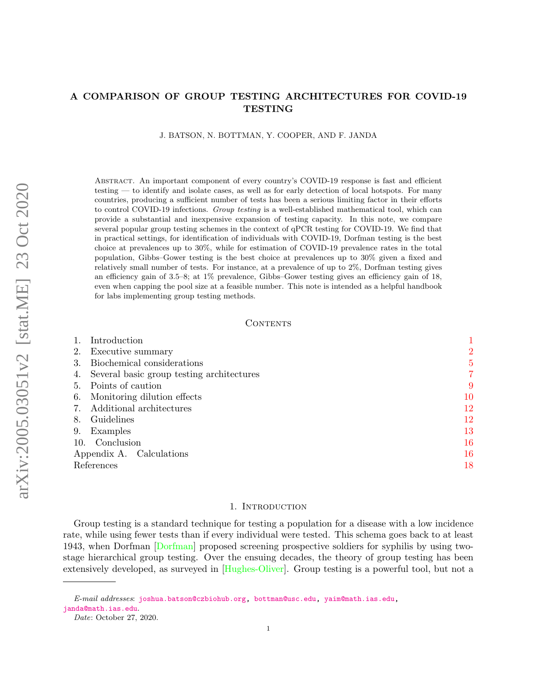# A COMPARISON OF GROUP TESTING ARCHITECTURES FOR COVID-19 TESTING

J. BATSON, N. BOTTMAN, Y. COOPER, AND F. JANDA

Abstract. An important component of every country's COVID-19 response is fast and efficient testing — to identify and isolate cases, as well as for early detection of local hotspots. For many countries, producing a sufficient number of tests has been a serious limiting factor in their efforts to control COVID-19 infections. Group testing is a well-established mathematical tool, which can provide a substantial and inexpensive expansion of testing capacity. In this note, we compare several popular group testing schemes in the context of qPCR testing for COVID-19. We find that in practical settings, for identification of individuals with COVID-19, Dorfman testing is the best choice at prevalences up to 30%, while for estimation of COVID-19 prevalence rates in the total population, Gibbs–Gower testing is the best choice at prevalences up to 30% given a fixed and relatively small number of tests. For instance, at a prevalence of up to 2%, Dorfman testing gives an efficiency gain of 3.5–8; at 1% prevalence, Gibbs–Gower testing gives an efficiency gain of 18, even when capping the pool size at a feasible number. This note is intended as a helpful handbook for labs implementing group testing methods.

#### CONTENTS

| Introduction                              |        |
|-------------------------------------------|--------|
| Executive summary<br>2.                   | 2      |
| Biochemical considerations                | 5      |
| Several basic group testing architectures | 7      |
| Points of caution<br>5.                   | 9      |
| Monitoring dilution effects<br>6.         | $10\,$ |
| Additional architectures                  | $12\,$ |
| Guidelines<br>8.                          | 12     |
| Examples<br>9.                            | 13     |
| 10. Conclusion                            | 16     |
| Appendix A. Calculations                  | 16     |
| References                                | 18     |

### 1. INTRODUCTION

<span id="page-0-0"></span>Group testing is a standard technique for testing a population for a disease with a low incidence rate, while using fewer tests than if every individual were tested. This schema goes back to at least 1943, when Dorfman [\[Dorfman\]](#page-17-1) proposed screening prospective soldiers for syphilis by using twostage hierarchical group testing. Over the ensuing decades, the theory of group testing has been extensively developed, as surveyed in [\[Hughes-Oliver\]](#page-17-2). Group testing is a powerful tool, but not a

E-mail addresses: [joshua.batson@czbiohub.org,](mailto:joshua.batson@czbiohub.org) [bottman@usc.edu,](mailto:bottman@usc.edu) [yaim@math.ias.edu,](mailto:yaim@math.ias.edu) [janda@math.ias.edu](mailto:janda@math.ias.edu).

Date: October 27, 2020.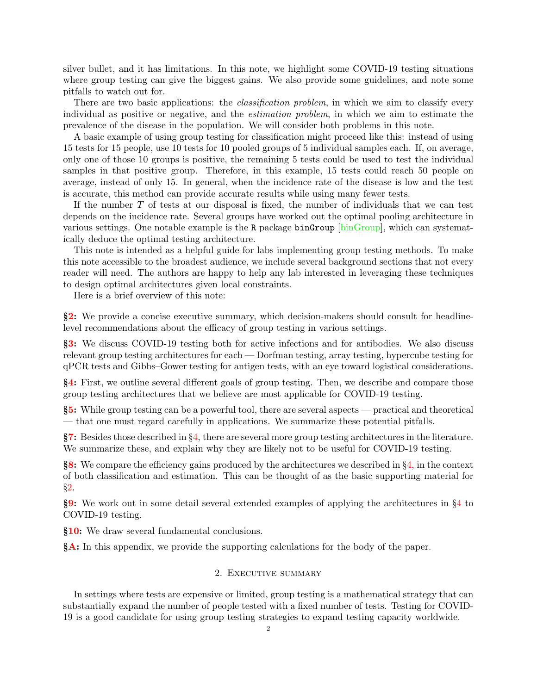silver bullet, and it has limitations. In this note, we highlight some COVID-19 testing situations where group testing can give the biggest gains. We also provide some guidelines, and note some pitfalls to watch out for.

There are two basic applications: the *classification problem*, in which we aim to classify every individual as positive or negative, and the estimation problem, in which we aim to estimate the prevalence of the disease in the population. We will consider both problems in this note.

A basic example of using group testing for classification might proceed like this: instead of using 15 tests for 15 people, use 10 tests for 10 pooled groups of 5 individual samples each. If, on average, only one of those 10 groups is positive, the remaining 5 tests could be used to test the individual samples in that positive group. Therefore, in this example, 15 tests could reach 50 people on average, instead of only 15. In general, when the incidence rate of the disease is low and the test is accurate, this method can provide accurate results while using many fewer tests.

If the number  $T$  of tests at our disposal is fixed, the number of individuals that we can test depends on the incidence rate. Several groups have worked out the optimal pooling architecture in various settings. One notable example is the R package  $binGroup$  [\[binGroup\]](#page-17-3), which can systematically deduce the optimal testing architecture.

This note is intended as a helpful guide for labs implementing group testing methods. To make this note accessible to the broadest audience, we include several background sections that not every reader will need. The authors are happy to help any lab interested in leveraging these techniques to design optimal architectures given local constraints.

Here is a brief overview of this note:

§[2:](#page-1-0) We provide a concise executive summary, which decision-makers should consult for headlinelevel recommendations about the efficacy of group testing in various settings.

§[3:](#page-4-0) We discuss COVID-19 testing both for active infections and for antibodies. We also discuss relevant group testing architectures for each — Dorfman testing, array testing, hypercube testing for qPCR tests and Gibbs–Gower testing for antigen tests, with an eye toward logistical considerations.

§[4:](#page-6-0) First, we outline several different goals of group testing. Then, we describe and compare those group testing architectures that we believe are most applicable for COVID-19 testing.

§[5:](#page-8-0) While group testing can be a powerful tool, there are several aspects — practical and theoretical — that one must regard carefully in applications. We summarize these potential pitfalls.

§[7:](#page-11-0) Besides those described in §[4,](#page-6-0) there are several more group testing architectures in the literature. We summarize these, and explain why they are likely not to be useful for COVID-19 testing.

§[8:](#page-11-1) We compare the efficiency gains produced by the architectures we described in §[4,](#page-6-0) in the context of both classification and estimation. This can be thought of as the basic supporting material for §[2.](#page-1-0)

§[9:](#page-12-0) We work out in some detail several extended examples of applying the architectures in §[4](#page-6-0) to COVID-19 testing.

§[10:](#page-15-0) We draw several fundamental conclusions.

<span id="page-1-0"></span>§[A:](#page-15-1) In this appendix, we provide the supporting calculations for the body of the paper.

# 2. Executive summary

In settings where tests are expensive or limited, group testing is a mathematical strategy that can substantially expand the number of people tested with a fixed number of tests. Testing for COVID-19 is a good candidate for using group testing strategies to expand testing capacity worldwide.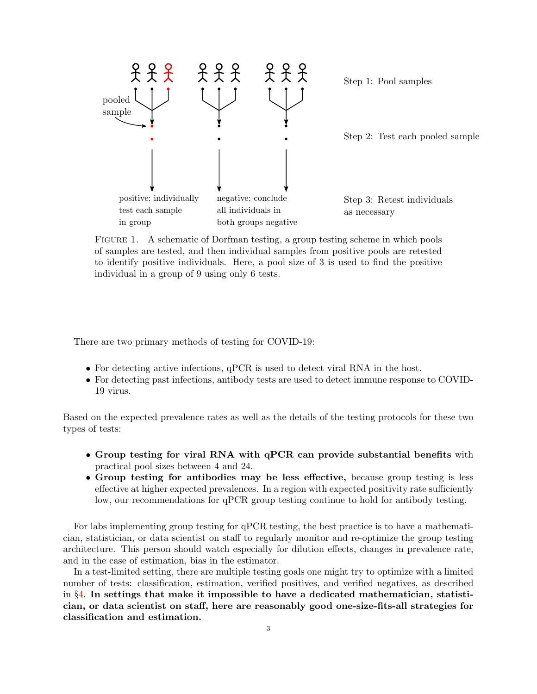

Step 1: Pool samples

Step 2: Test each pooled sample

Step 3: Retest individuals as necessary

FIGURE 1. A schematic of Dorfman testing, a group testing scheme in which pools of samples are tested, and then individual samples from positive pools are retested to identify positive individuals. Here, a pool size of 3 is used to find the positive individual in a group of 9 using only 6 tests.

There are two primary methods of testing for COVID-19:

- For detecting active infections, qPCR is used to detect viral RNA in the host.
- For detecting past infections, antibody tests are used to detect immune response to COVID-19 virus.

Based on the expected prevalence rates as well as the details of the testing protocols for these two types of tests:

- Group testing for viral RNA with qPCR can provide substantial benefits with practical pool sizes between 4 and 24.
- Group testing for antibodies may be less effective, because group testing is less effective at higher expected prevalences. In a region with expected positivity rate sufficiently low, our recommendations for qPCR group testing continue to hold for antibody testing.

For labs implementing group testing for qPCR testing, the best practice is to have a mathematician, statistician, or data scientist on staff to regularly monitor and re-optimize the group testing architecture. This person should watch especially for dilution effects, changes in prevalence rate, and in the case of estimation, bias in the estimator.

In a test-limited setting, there are multiple testing goals one might try to optimize with a limited number of tests: classification, estimation, verified positives, and verified negatives, as described in  $\S4$ . In settings that make it impossible to have a dedicated mathematician, statistician, or data scientist on staff, here are reasonably good one-size-fits-all strategies for classification and estimation.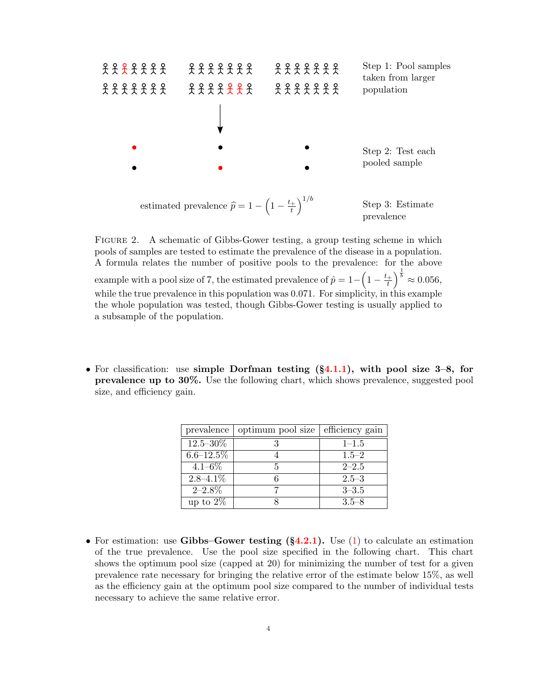

Figure 2. A schematic of Gibbs-Gower testing, a group testing scheme in which pools of samples are tested to estimate the prevalence of the disease in a population. A formula relates the number of positive pools to the prevalence: for the above example with a pool size of 7, the estimated prevalence of  $\hat{p} = 1 - \left(1 - \frac{t_+}{t_+}\right)$  $\left(\frac{1}{t}\right)^{\frac{1}{b}} \approx 0.056,$ while the true prevalence in this population was 0.071. For simplicity, in this example the whole population was tested, though Gibbs-Gower testing is usually applied to a subsample of the population.

• For classification: use simple Dorfman testing  $(\S 4.1.1)$  $(\S 4.1.1)$ , with pool size 3–8, for prevalence up to 30%. Use the following chart, which shows prevalence, suggested pool size, and efficiency gain.

| prevalence     | optimum pool size | efficiency gain |
|----------------|-------------------|-----------------|
| $12.5 - 30\%$  |                   | $1 - 1.5$       |
| $6.6 - 12.5\%$ |                   | $1.5 - 2$       |
| $4.1 - 6\%$    | 5                 | $2 - 2.5$       |
| $2.8 - 4.1\%$  |                   | $2.5 - 3$       |
| $2 - 2.8\%$    |                   | $3 - 3.5$       |
| up to $2\%$    |                   | $3.5 - 8$       |

• For estimation: use Gibbs–Gower testing  $(\S4.2.1)$  $(\S4.2.1)$ . Use [\(1\)](#page-7-1) to calculate an estimation of the true prevalence. Use the pool size specified in the following chart. This chart shows the optimum pool size (capped at 20) for minimizing the number of test for a given prevalence rate necessary for bringing the relative error of the estimate below 15%, as well as the efficiency gain at the optimum pool size compared to the number of individual tests necessary to achieve the same relative error.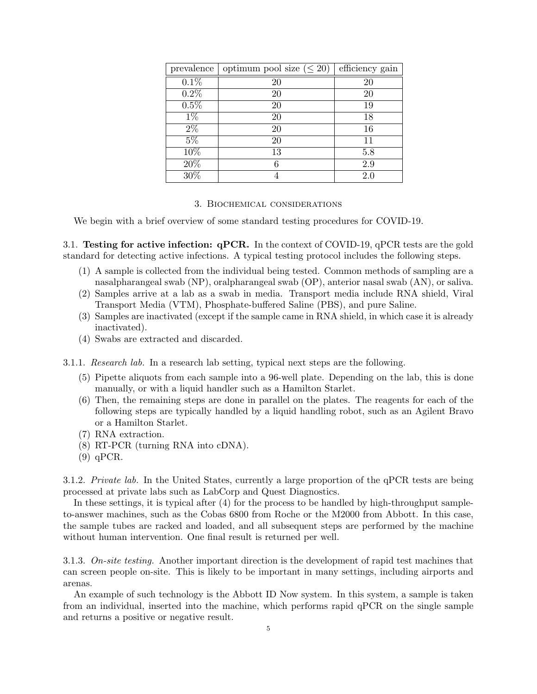| prevalence       | optimum pool size $(\leq 20)$ | efficiency gain |
|------------------|-------------------------------|-----------------|
| 0.1%             | 20                            | 20              |
| $0.2\%$          | 20                            | 20              |
| 0.5%             | 20                            | 19              |
| $1\%$            | 20                            | 18              |
| $\overline{2\%}$ | 20                            | 16              |
| $5\%$            | 20                            | 11              |
| 10%              | 13                            | 5.8             |
| 20%              |                               | 2.9             |
| 30%              |                               | 2.0             |

#### 3. Biochemical considerations

<span id="page-4-0"></span>We begin with a brief overview of some standard testing procedures for COVID-19.

3.1. Testing for active infection: qPCR. In the context of COVID-19, qPCR tests are the gold standard for detecting active infections. A typical testing protocol includes the following steps.

- (1) A sample is collected from the individual being tested. Common methods of sampling are a nasalpharangeal swab (NP), oralpharangeal swab (OP), anterior nasal swab (AN), or saliva.
- (2) Samples arrive at a lab as a swab in media. Transport media include RNA shield, Viral Transport Media (VTM), Phosphate-buffered Saline (PBS), and pure Saline.
- (3) Samples are inactivated (except if the sample came in RNA shield, in which case it is already inactivated).
- (4) Swabs are extracted and discarded.

3.1.1. Research lab. In a research lab setting, typical next steps are the following.

- (5) Pipette aliquots from each sample into a 96-well plate. Depending on the lab, this is done manually, or with a liquid handler such as a Hamilton Starlet.
- (6) Then, the remaining steps are done in parallel on the plates. The reagents for each of the following steps are typically handled by a liquid handling robot, such as an Agilent Bravo or a Hamilton Starlet.
- (7) RNA extraction.
- (8) RT-PCR (turning RNA into cDNA).
- (9) qPCR.

3.1.2. Private lab. In the United States, currently a large proportion of the qPCR tests are being processed at private labs such as LabCorp and Quest Diagnostics.

In these settings, it is typical after (4) for the process to be handled by high-throughput sampleto-answer machines, such as the Cobas 6800 from Roche or the M2000 from Abbott. In this case, the sample tubes are racked and loaded, and all subsequent steps are performed by the machine without human intervention. One final result is returned per well.

3.1.3. On-site testing. Another important direction is the development of rapid test machines that can screen people on-site. This is likely to be important in many settings, including airports and arenas.

An example of such technology is the Abbott ID Now system. In this system, a sample is taken from an individual, inserted into the machine, which performs rapid qPCR on the single sample and returns a positive or negative result.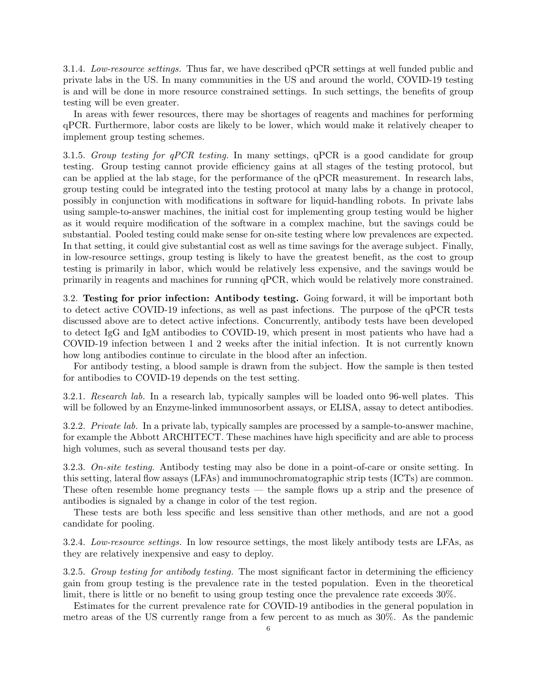3.1.4. Low-resource settings. Thus far, we have described qPCR settings at well funded public and private labs in the US. In many communities in the US and around the world, COVID-19 testing is and will be done in more resource constrained settings. In such settings, the benefits of group testing will be even greater.

In areas with fewer resources, there may be shortages of reagents and machines for performing qPCR. Furthermore, labor costs are likely to be lower, which would make it relatively cheaper to implement group testing schemes.

3.1.5. Group testing for  $qPCR$  testing. In many settings,  $qPCR$  is a good candidate for group testing. Group testing cannot provide efficiency gains at all stages of the testing protocol, but can be applied at the lab stage, for the performance of the qPCR measurement. In research labs, group testing could be integrated into the testing protocol at many labs by a change in protocol, possibly in conjunction with modifications in software for liquid-handling robots. In private labs using sample-to-answer machines, the initial cost for implementing group testing would be higher as it would require modification of the software in a complex machine, but the savings could be substantial. Pooled testing could make sense for on-site testing where low prevalences are expected. In that setting, it could give substantial cost as well as time savings for the average subject. Finally, in low-resource settings, group testing is likely to have the greatest benefit, as the cost to group testing is primarily in labor, which would be relatively less expensive, and the savings would be primarily in reagents and machines for running qPCR, which would be relatively more constrained.

3.2. Testing for prior infection: Antibody testing. Going forward, it will be important both to detect active COVID-19 infections, as well as past infections. The purpose of the qPCR tests discussed above are to detect active infections. Concurrently, antibody tests have been developed to detect IgG and IgM antibodies to COVID-19, which present in most patients who have had a COVID-19 infection between 1 and 2 weeks after the initial infection. It is not currently known how long antibodies continue to circulate in the blood after an infection.

For antibody testing, a blood sample is drawn from the subject. How the sample is then tested for antibodies to COVID-19 depends on the test setting.

3.2.1. Research lab. In a research lab, typically samples will be loaded onto 96-well plates. This will be followed by an Enzyme-linked immunosorbent assays, or ELISA, assay to detect antibodies.

3.2.2. Private lab. In a private lab, typically samples are processed by a sample-to-answer machine, for example the Abbott ARCHITECT. These machines have high specificity and are able to process high volumes, such as several thousand tests per day.

3.2.3. On-site testing. Antibody testing may also be done in a point-of-care or onsite setting. In this setting, lateral flow assays (LFAs) and immunochromatographic strip tests (ICTs) are common. These often resemble home pregnancy tests — the sample flows up a strip and the presence of antibodies is signaled by a change in color of the test region.

These tests are both less specific and less sensitive than other methods, and are not a good candidate for pooling.

3.2.4. Low-resource settings. In low resource settings, the most likely antibody tests are LFAs, as they are relatively inexpensive and easy to deploy.

3.2.5. Group testing for antibody testing. The most significant factor in determining the efficiency gain from group testing is the prevalence rate in the tested population. Even in the theoretical limit, there is little or no benefit to using group testing once the prevalence rate exceeds 30%.

Estimates for the current prevalence rate for COVID-19 antibodies in the general population in metro areas of the US currently range from a few percent to as much as 30%. As the pandemic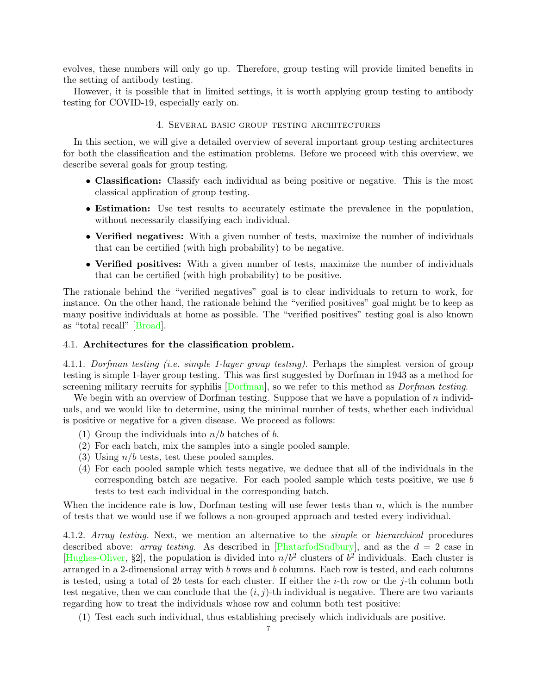evolves, these numbers will only go up. Therefore, group testing will provide limited benefits in the setting of antibody testing.

However, it is possible that in limited settings, it is worth applying group testing to antibody testing for COVID-19, especially early on.

# 4. Several basic group testing architectures

<span id="page-6-0"></span>In this section, we will give a detailed overview of several important group testing architectures for both the classification and the estimation problems. Before we proceed with this overview, we describe several goals for group testing.

- Classification: Classify each individual as being positive or negative. This is the most classical application of group testing.
- Estimation: Use test results to accurately estimate the prevalence in the population, without necessarily classifying each individual.
- Verified negatives: With a given number of tests, maximize the number of individuals that can be certified (with high probability) to be negative.
- Verified positives: With a given number of tests, maximize the number of individuals that can be certified (with high probability) to be positive.

The rationale behind the "verified negatives" goal is to clear individuals to return to work, for instance. On the other hand, the rationale behind the "verified positives" goal might be to keep as many positive individuals at home as possible. The "verified positives" testing goal is also known as "total recall" [\[Broad\]](#page-17-4).

### 4.1. Architectures for the classification problem.

<span id="page-6-1"></span>4.1.1. Dorfman testing (i.e. simple 1-layer group testing). Perhaps the simplest version of group testing is simple 1-layer group testing. This was first suggested by Dorfman in 1943 as a method for screening military recruits for syphilis Dorfman, so we refer to this method as *Dorfman testing*.

We begin with an overview of Dorfman testing. Suppose that we have a population of  $n$  individuals, and we would like to determine, using the minimal number of tests, whether each individual is positive or negative for a given disease. We proceed as follows:

- (1) Group the individuals into  $n/b$  batches of b.
- (2) For each batch, mix the samples into a single pooled sample.
- (3) Using  $n/b$  tests, test these pooled samples.
- (4) For each pooled sample which tests negative, we deduce that all of the individuals in the corresponding batch are negative. For each pooled sample which tests positive, we use b tests to test each individual in the corresponding batch.

When the incidence rate is low, Dorfman testing will use fewer tests than  $n$ , which is the number of tests that we would use if we follows a non-grouped approach and tested every individual.

4.1.2. Array testing. Next, we mention an alternative to the simple or hierarchical procedures described above: *array testing*. As described in [\[PhatarfodSudbury\]](#page-17-5), and as the  $d = 2$  case in [\[Hughes-Oliver,](#page-17-2) §2], the population is divided into  $n/b^2$  clusters of  $b^2$  individuals. Each cluster is arranged in a 2-dimensional array with b rows and b columns. Each row is tested, and each columns is tested, using a total of 2b tests for each cluster. If either the  $i$ -th row or the j-th column both test negative, then we can conclude that the  $(i, j)$ -th individual is negative. There are two variants regarding how to treat the individuals whose row and column both test positive:

(1) Test each such individual, thus establishing precisely which individuals are positive.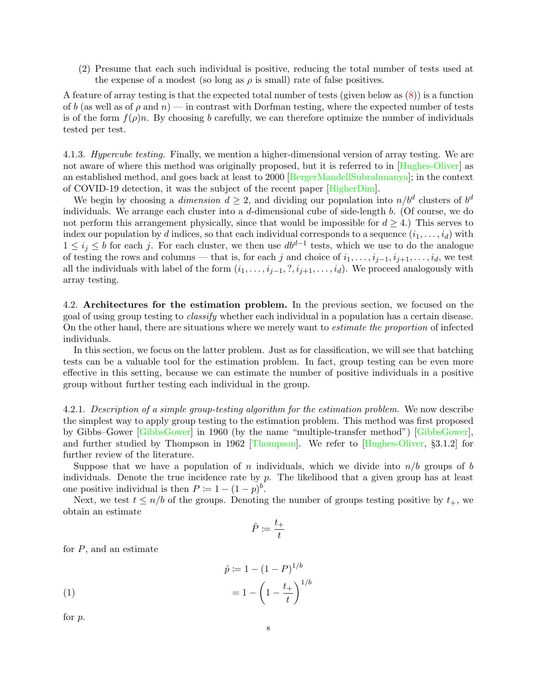(2) Presume that each such individual is positive, reducing the total number of tests used at the expense of a modest (so long as  $\rho$  is small) rate of false positives.

A feature of array testing is that the expected total number of tests (given below as [\(8\)](#page-16-0)) is a function of b (as well as of  $\rho$  and  $n$ ) — in contrast with Dorfman testing, where the expected number of tests is of the form  $f(\rho)n$ . By choosing b carefully, we can therefore optimize the number of individuals tested per test.

4.1.3. Hypercube testing. Finally, we mention a higher-dimensional version of array testing. We are not aware of where this method was originally proposed, but it is referred to in [\[Hughes-Oliver\]](#page-17-2) as an established method, and goes back at least to 2000 [\[BergerMandellSubrahmanya\]](#page-17-6); in the context of COVID-19 detection, it was the subject of the recent paper [\[HigherDim\]](#page-17-7).

We begin by choosing a *dimension*  $d \geq 2$ , and dividing our population into  $n/b^d$  clusters of  $b^d$ individuals. We arrange each cluster into a d-dimensional cube of side-length b. (Of course, we do not perform this arrangement physically, since that would be impossible for  $d > 4$ .) This serves to index our population by d indices, so that each individual corresponds to a sequence  $(i_1, \ldots, i_d)$  with  $1 \leq i_j \leq b$  for each j. For each cluster, we then use  $db^{d-1}$  tests, which we use to do the analogue of testing the rows and columns — that is, for each j and choice of  $i_1, \ldots, i_{j-1}, i_{j+1}, \ldots, i_d$ , we test all the individuals with label of the form  $(i_1, \ldots, i_{j-1}, ?, i_{j+1}, \ldots, i_d)$ . We proceed analogously with array testing.

4.2. Architectures for the estimation problem. In the previous section, we focused on the goal of using group testing to classify whether each individual in a population has a certain disease. On the other hand, there are situations where we merely want to estimate the proportion of infected individuals.

In this section, we focus on the latter problem. Just as for classification, we will see that batching tests can be a valuable tool for the estimation problem. In fact, group testing can be even more effective in this setting, because we can estimate the number of positive individuals in a positive group without further testing each individual in the group.

<span id="page-7-0"></span>4.2.1. Description of a simple group-testing algorithm for the estimation problem. We now describe the simplest way to apply group testing to the estimation problem. This method was first proposed by Gibbs–Gower [\[GibbsGower\]](#page-17-8) in 1960 (by the name "multiple-transfer method") [\[GibbsGower\]](#page-17-8), and further studied by Thompson in 1962 [\[Thompson\]](#page-17-9). We refer to [\[Hughes-Oliver,](#page-17-2) §3.1.2] for further review of the literature.

Suppose that we have a population of n individuals, which we divide into  $n/b$  groups of b individuals. Denote the true incidence rate by  $p$ . The likelihood that a given group has at least one positive individual is then  $P \coloneqq 1 - (1 - p)^b$ .

Next, we test  $t \leq n/b$  of the groups. Denoting the number of groups testing positive by  $t_+$ , we obtain an estimate

$$
\hat{P} \coloneqq \frac{t_+}{t}
$$

for  $P$ , and an estimate

<span id="page-7-1"></span>(1) 
$$
\hat{p} := 1 - (1 - P)^{1/b} = 1 - \left(1 - \frac{t_+}{t}\right)^{1/b}
$$

for p.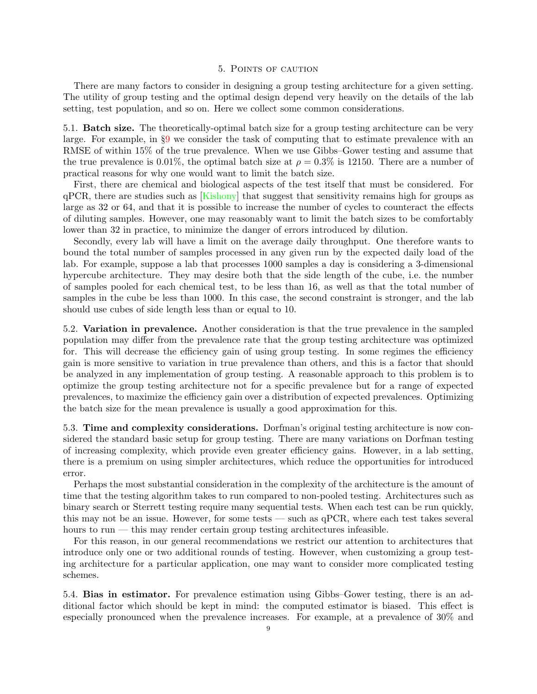### 5. Points of caution

<span id="page-8-0"></span>There are many factors to consider in designing a group testing architecture for a given setting. The utility of group testing and the optimal design depend very heavily on the details of the lab setting, test population, and so on. Here we collect some common considerations.

5.1. Batch size. The theoretically-optimal batch size for a group testing architecture can be very large. For example, in §[9](#page-12-0) we consider the task of computing that to estimate prevalence with an RMSE of within 15% of the true prevalence. When we use Gibbs–Gower testing and assume that the true prevalence is 0.01%, the optimal batch size at  $\rho = 0.3\%$  is 12150. There are a number of practical reasons for why one would want to limit the batch size.

First, there are chemical and biological aspects of the test itself that must be considered. For qPCR, there are studies such as [\[Kishony\]](#page-17-10) that suggest that sensitivity remains high for groups as large as 32 or 64, and that it is possible to increase the number of cycles to counteract the effects of diluting samples. However, one may reasonably want to limit the batch sizes to be comfortably lower than 32 in practice, to minimize the danger of errors introduced by dilution.

Secondly, every lab will have a limit on the average daily throughput. One therefore wants to bound the total number of samples processed in any given run by the expected daily load of the lab. For example, suppose a lab that processes 1000 samples a day is considering a 3-dimensional hypercube architecture. They may desire both that the side length of the cube, i.e. the number of samples pooled for each chemical test, to be less than 16, as well as that the total number of samples in the cube be less than 1000. In this case, the second constraint is stronger, and the lab should use cubes of side length less than or equal to 10.

5.2. Variation in prevalence. Another consideration is that the true prevalence in the sampled population may differ from the prevalence rate that the group testing architecture was optimized for. This will decrease the efficiency gain of using group testing. In some regimes the efficiency gain is more sensitive to variation in true prevalence than others, and this is a factor that should be analyzed in any implementation of group testing. A reasonable approach to this problem is to optimize the group testing architecture not for a specific prevalence but for a range of expected prevalences, to maximize the efficiency gain over a distribution of expected prevalences. Optimizing the batch size for the mean prevalence is usually a good approximation for this.

5.3. Time and complexity considerations. Dorfman's original testing architecture is now considered the standard basic setup for group testing. There are many variations on Dorfman testing of increasing complexity, which provide even greater efficiency gains. However, in a lab setting, there is a premium on using simpler architectures, which reduce the opportunities for introduced error.

Perhaps the most substantial consideration in the complexity of the architecture is the amount of time that the testing algorithm takes to run compared to non-pooled testing. Architectures such as binary search or Sterrett testing require many sequential tests. When each test can be run quickly, this may not be an issue. However, for some tests — such as qPCR, where each test takes several hours to run — this may render certain group testing architectures infeasible.

For this reason, in our general recommendations we restrict our attention to architectures that introduce only one or two additional rounds of testing. However, when customizing a group testing architecture for a particular application, one may want to consider more complicated testing schemes.

5.4. Bias in estimator. For prevalence estimation using Gibbs–Gower testing, there is an additional factor which should be kept in mind: the computed estimator is biased. This effect is especially pronounced when the prevalence increases. For example, at a prevalence of 30% and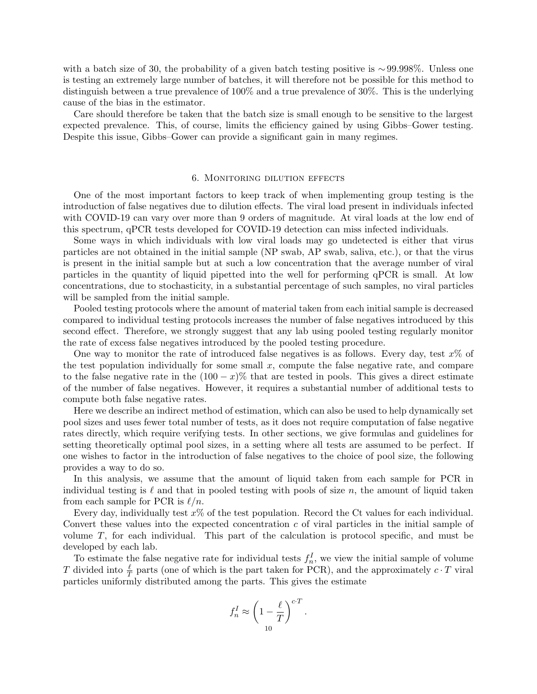with a batch size of 30, the probability of a given batch testing positive is ∼99.998%. Unless one is testing an extremely large number of batches, it will therefore not be possible for this method to distinguish between a true prevalence of 100% and a true prevalence of 30%. This is the underlying cause of the bias in the estimator.

Care should therefore be taken that the batch size is small enough to be sensitive to the largest expected prevalence. This, of course, limits the efficiency gained by using Gibbs–Gower testing. Despite this issue, Gibbs–Gower can provide a significant gain in many regimes.

# 6. Monitoring dilution effects

<span id="page-9-0"></span>One of the most important factors to keep track of when implementing group testing is the introduction of false negatives due to dilution effects. The viral load present in individuals infected with COVID-19 can vary over more than 9 orders of magnitude. At viral loads at the low end of this spectrum, qPCR tests developed for COVID-19 detection can miss infected individuals.

Some ways in which individuals with low viral loads may go undetected is either that virus particles are not obtained in the initial sample (NP swab, AP swab, saliva, etc.), or that the virus is present in the initial sample but at such a low concentration that the average number of viral particles in the quantity of liquid pipetted into the well for performing qPCR is small. At low concentrations, due to stochasticity, in a substantial percentage of such samples, no viral particles will be sampled from the initial sample.

Pooled testing protocols where the amount of material taken from each initial sample is decreased compared to individual testing protocols increases the number of false negatives introduced by this second effect. Therefore, we strongly suggest that any lab using pooled testing regularly monitor the rate of excess false negatives introduced by the pooled testing procedure.

One way to monitor the rate of introduced false negatives is as follows. Every day, test  $x\%$  of the test population individually for some small  $x$ , compute the false negative rate, and compare to the false negative rate in the  $(100 - x)\%$  that are tested in pools. This gives a direct estimate of the number of false negatives. However, it requires a substantial number of additional tests to compute both false negative rates.

Here we describe an indirect method of estimation, which can also be used to help dynamically set pool sizes and uses fewer total number of tests, as it does not require computation of false negative rates directly, which require verifying tests. In other sections, we give formulas and guidelines for setting theoretically optimal pool sizes, in a setting where all tests are assumed to be perfect. If one wishes to factor in the introduction of false negatives to the choice of pool size, the following provides a way to do so.

In this analysis, we assume that the amount of liquid taken from each sample for PCR in individual testing is  $\ell$  and that in pooled testing with pools of size n, the amount of liquid taken from each sample for PCR is  $\ell/n$ .

Every day, individually test  $x\%$  of the test population. Record the Ct values for each individual. Convert these values into the expected concentration  $c$  of viral particles in the initial sample of volume  $T$ , for each individual. This part of the calculation is protocol specific, and must be developed by each lab.

To estimate the false negative rate for individual tests  $f_n^I$ , we view the initial sample of volume T divided into  $\frac{\ell}{T}$  parts (one of which is the part taken for PCR), and the approximately  $c \cdot T$  viral particles uniformly distributed among the parts. This gives the estimate

$$
f_n^I \approx \left(1 - \frac{\ell}{T}\right)^{c \cdot T}.
$$
  
<sub>10</sub>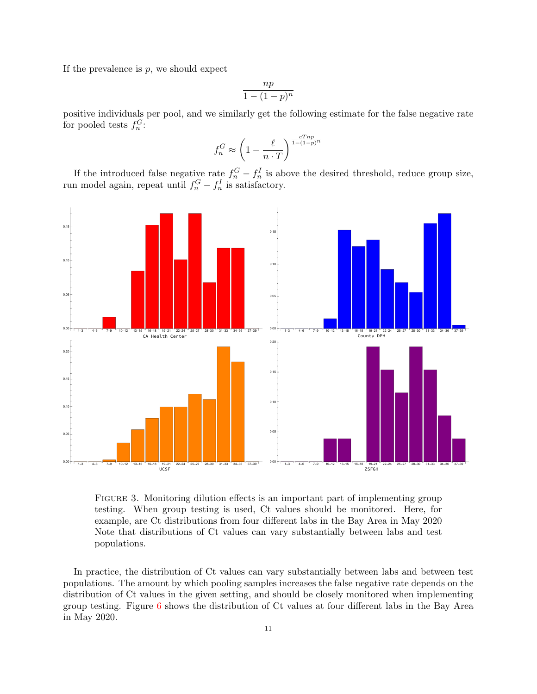If the prevalence is  $p$ , we should expect

$$
\frac{np}{1 - (1 - p)^n}
$$

positive individuals per pool, and we similarly get the following estimate for the false negative rate for pooled tests  $f_n^G$ :

$$
f_n^G \approx \left(1-\frac{\ell}{n\cdot T}\right)^{\frac{cTnp}{1-(1-p)^n}}
$$

If the introduced false negative rate  $f_n^G - f_n^I$  is above the desired threshold, reduce group size, run model again, repeat until  $f_n^G - f_n^I$  is satisfactory.



FIGURE 3. Monitoring dilution effects is an important part of implementing group testing. When group testing is used, Ct values should be monitored. Here, for example, are Ct distributions from four different labs in the Bay Area in May 2020 Note that distributions of Ct values can vary substantially between labs and test populations.

In practice, the distribution of Ct values can vary substantially between labs and between test populations. The amount by which pooling samples increases the false negative rate depends on the distribution of Ct values in the given setting, and should be closely monitored when implementing group testing. Figure [6](#page-9-0) shows the distribution of Ct values at four different labs in the Bay Area in May 2020.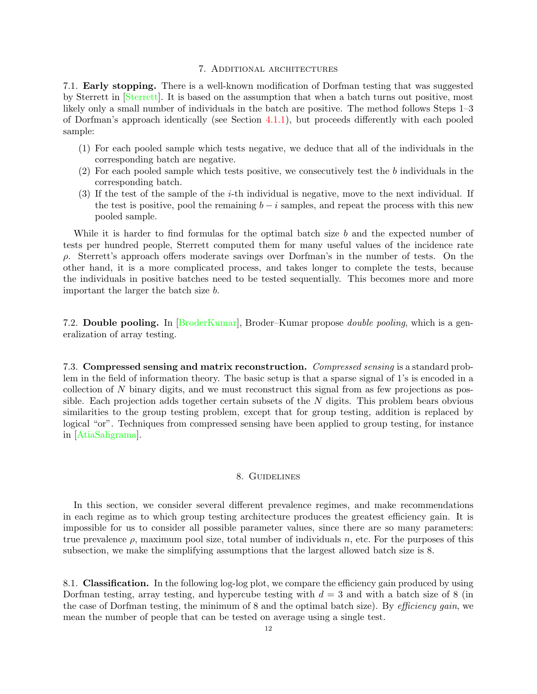### 7. Additional architectures

<span id="page-11-0"></span>7.1. Early stopping. There is a well-known modification of Dorfman testing that was suggested by Sterrett in [\[Sterrett\]](#page-17-11). It is based on the assumption that when a batch turns out positive, most likely only a small number of individuals in the batch are positive. The method follows Steps 1–3 of Dorfman's approach identically (see Section [4.1.1\)](#page-6-1), but proceeds differently with each pooled sample:

- (1) For each pooled sample which tests negative, we deduce that all of the individuals in the corresponding batch are negative.
- $(2)$  For each pooled sample which tests positive, we consecutively test the b individuals in the corresponding batch.
- (3) If the test of the sample of the i-th individual is negative, move to the next individual. If the test is positive, pool the remaining  $b - i$  samples, and repeat the process with this new pooled sample.

While it is harder to find formulas for the optimal batch size b and the expected number of tests per hundred people, Sterrett computed them for many useful values of the incidence rate ρ. Sterrett's approach offers moderate savings over Dorfman's in the number of tests. On the other hand, it is a more complicated process, and takes longer to complete the tests, because the individuals in positive batches need to be tested sequentially. This becomes more and more important the larger the batch size b.

7.2. Double pooling. In [\[BroderKumar\]](#page-17-12), Broder–Kumar propose double pooling, which is a generalization of array testing.

7.3. Compressed sensing and matrix reconstruction. Compressed sensing is a standard problem in the field of information theory. The basic setup is that a sparse signal of 1's is encoded in a collection of  $N$  binary digits, and we must reconstruct this signal from as few projections as possible. Each projection adds together certain subsets of the  $N$  digits. This problem bears obvious similarities to the group testing problem, except that for group testing, addition is replaced by logical "or". Techniques from compressed sensing have been applied to group testing, for instance in [\[AtiaSaligrama\]](#page-17-13).

# 8. Guidelines

<span id="page-11-1"></span>In this section, we consider several different prevalence regimes, and make recommendations in each regime as to which group testing architecture produces the greatest efficiency gain. It is impossible for us to consider all possible parameter values, since there are so many parameters: true prevalence  $\rho$ , maximum pool size, total number of individuals n, etc. For the purposes of this subsection, we make the simplifying assumptions that the largest allowed batch size is 8.

8.1. Classification. In the following log-log plot, we compare the efficiency gain produced by using Dorfman testing, array testing, and hypercube testing with  $d = 3$  and with a batch size of 8 (in the case of Dorfman testing, the minimum of 8 and the optimal batch size). By *efficiency gain*, we mean the number of people that can be tested on average using a single test.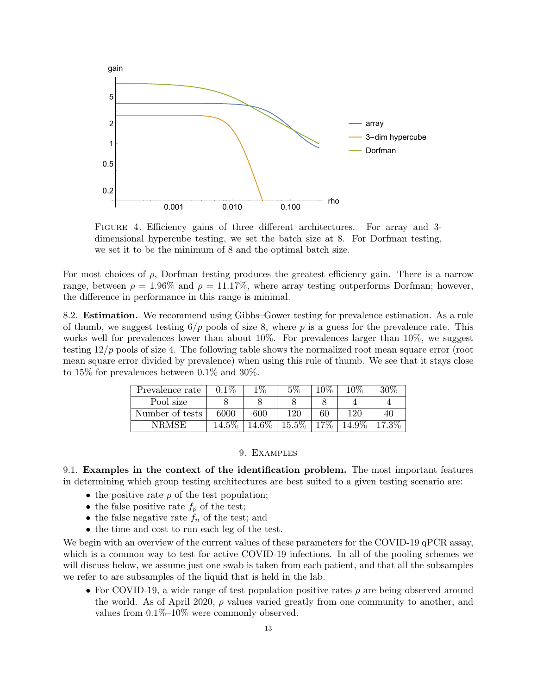

Figure 4. Efficiency gains of three different architectures. For array and 3 dimensional hypercube testing, we set the batch size at 8. For Dorfman testing, we set it to be the minimum of 8 and the optimal batch size.

For most choices of  $\rho$ , Dorfman testing produces the greatest efficiency gain. There is a narrow range, between  $\rho = 1.96\%$  and  $\rho = 11.17\%$ , where array testing outperforms Dorfman; however, the difference in performance in this range is minimal.

8.2. Estimation. We recommend using Gibbs–Gower testing for prevalence estimation. As a rule of thumb, we suggest testing  $6/p$  pools of size 8, where p is a guess for the prevalence rate. This works well for prevalences lower than about 10%. For prevalences larger than 10%, we suggest testing  $12/p$  pools of size 4. The following table shows the normalized root mean square error (root mean square error divided by prevalence) when using this rule of thumb. We see that it stays close to 15% for prevalences between 0.1% and 30%.

| Prevalence rate | $0.1\%$ | $1\%$ | $5\%$      | $^{\circ}0\%$ | $10\%$ | 30% |
|-----------------|---------|-------|------------|---------------|--------|-----|
| Pool size       |         |       |            |               |        |     |
| Number of tests | 6000    | 600   | 120        | 60            | 190    | 40  |
| NRMSE           | E07     |       | 50%<br>15. | $7\%$         | 007    |     |

### 9. Examples

<span id="page-12-0"></span>9.1. Examples in the context of the identification problem. The most important features in determining which group testing architectures are best suited to a given testing scenario are:

- the positive rate  $\rho$  of the test population;
- the false positive rate  $f_p$  of the test;
- the false negative rate  $f_n$  of the test; and
- the time and cost to run each leg of the test.

We begin with an overview of the current values of these parameters for the COVID-19 qPCR assay, which is a common way to test for active COVID-19 infections. In all of the pooling schemes we will discuss below, we assume just one swab is taken from each patient, and that all the subsamples we refer to are subsamples of the liquid that is held in the lab.

• For COVID-19, a wide range of test population positive rates  $\rho$  are being observed around the world. As of April 2020,  $\rho$  values varied greatly from one community to another, and values from 0.1%–10% were commonly observed.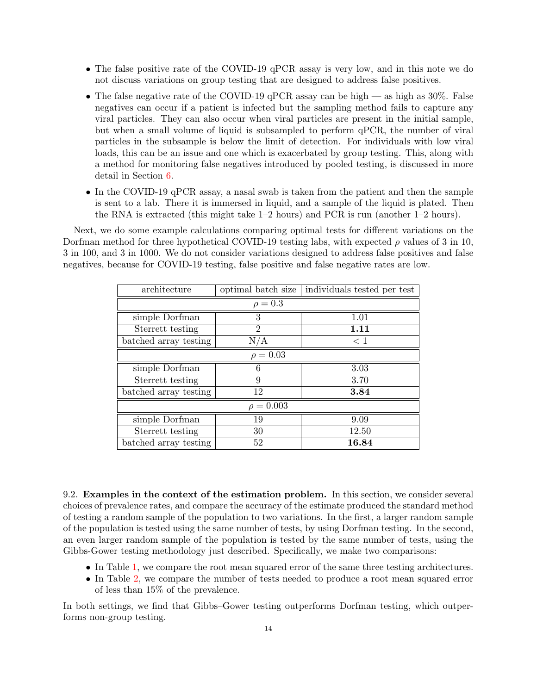- The false positive rate of the COVID-19 qPCR assay is very low, and in this note we do not discuss variations on group testing that are designed to address false positives.
- The false negative rate of the COVID-19 qPCR assay can be high as high as  $30\%$ . False negatives can occur if a patient is infected but the sampling method fails to capture any viral particles. They can also occur when viral particles are present in the initial sample, but when a small volume of liquid is subsampled to perform qPCR, the number of viral particles in the subsample is below the limit of detection. For individuals with low viral loads, this can be an issue and one which is exacerbated by group testing. This, along with a method for monitoring false negatives introduced by pooled testing, is discussed in more detail in Section [6.](#page-9-0)
- In the COVID-19 qPCR assay, a nasal swab is taken from the patient and then the sample is sent to a lab. There it is immersed in liquid, and a sample of the liquid is plated. Then the RNA is extracted (this might take 1–2 hours) and PCR is run (another 1–2 hours).

Next, we do some example calculations comparing optimal tests for different variations on the Dorfman method for three hypothetical COVID-19 testing labs, with expected  $\rho$  values of 3 in 10, 3 in 100, and 3 in 1000. We do not consider variations designed to address false positives and false negatives, because for COVID-19 testing, false positive and false negative rates are low.

| architecture          | optimal batch size | individuals tested per test |  |  |  |
|-----------------------|--------------------|-----------------------------|--|--|--|
| $\rho = 0.3$          |                    |                             |  |  |  |
| simple Dorfman        | 3                  | 1.01                        |  |  |  |
| Sterrett testing      | $\overline{2}$     | 1.11                        |  |  |  |
| batched array testing | N/A                | $\leq 1$                    |  |  |  |
| $\rho = 0.03$         |                    |                             |  |  |  |
| simple Dorfman        | 6                  | 3.03                        |  |  |  |
| Sterrett testing      | 9                  | 3.70                        |  |  |  |
| batched array testing | 12                 | 3.84                        |  |  |  |
| $\rho = 0.003$        |                    |                             |  |  |  |
| simple Dorfman        | 19                 | 9.09                        |  |  |  |
| Sterrett testing      | 30                 | 12.50                       |  |  |  |
| batched array testing | 52                 | 16.84                       |  |  |  |

9.2. Examples in the context of the estimation problem. In this section, we consider several choices of prevalence rates, and compare the accuracy of the estimate produced the standard method of testing a random sample of the population to two variations. In the first, a larger random sample of the population is tested using the same number of tests, by using Dorfman testing. In the second, an even larger random sample of the population is tested by the same number of tests, using the Gibbs-Gower testing methodology just described. Specifically, we make two comparisons:

- In Table [1,](#page-14-0) we compare the root mean squared error of the same three testing architectures.
- In Table [2,](#page-14-1) we compare the number of tests needed to produce a root mean squared error of less than 15% of the prevalence.

In both settings, we find that Gibbs–Gower testing outperforms Dorfman testing, which outperforms non-group testing.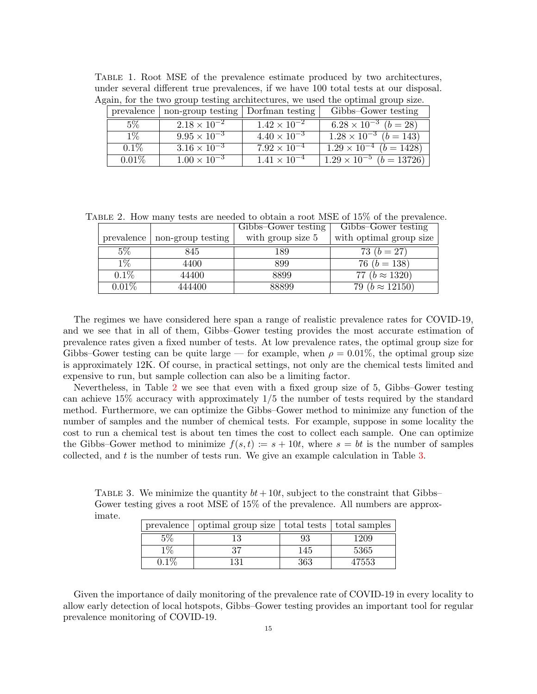<span id="page-14-0"></span>

| TABLE 1. Root MSE of the prevalence estimate produced by two architectures,           |  |
|---------------------------------------------------------------------------------------|--|
| under several different true prevalences, if we have 100 total tests at our disposal. |  |
| Again, for the two group testing architectures, we used the optimal group size.       |  |

| prevalence | non-group testing   Dorfman testing |                       | Gibbs-Gower testing                 |
|------------|-------------------------------------|-----------------------|-------------------------------------|
| 5%         | $2.18 \times 10^{-2}$               | $1.42 \times 10^{-2}$ | $6.28 \times 10^{-3}$ $(b = 28)$    |
| $1\%$      | $9.95 \times 10^{-3}$               | $4.40 \times 10^{-3}$ | $1.28 \times 10^{-3}$ $(b = 143)$   |
| $0.1\%$    | $3.16 \times 10^{-3}$               | $7.92 \times 10^{-4}$ | $1.29 \times 10^{-4}$ $(b = 1428)$  |
| $0.01\%$   | $1.00 \times 10^{-3}$               | $1.41 \times 10^{-4}$ | $1.29 \times 10^{-5}$ $(b = 13726)$ |

<span id="page-14-1"></span>TABLE 2. How many tests are needed to obtain a root MSE of 15% of the prevalence.

|            |                   | Gibbs-Gower testing | Gibbs-Gower testing      |
|------------|-------------------|---------------------|--------------------------|
| prevalence | non-group testing | with group size 5   | with optimal group size  |
| $5\%$      | 845               | 189                 | 73 $(b = 27)$            |
| $1\%$      | 4400              | 899                 | 76 ( $b = 138$ )         |
| $0.1\%$    | 44400             | 8899                | 77 ( $b \approx 1320$ )  |
| $0.01\%$   | 444400            | 88899               | 79 ( $b \approx 12150$ ) |

The regimes we have considered here span a range of realistic prevalence rates for COVID-19, and we see that in all of them, Gibbs–Gower testing provides the most accurate estimation of prevalence rates given a fixed number of tests. At low prevalence rates, the optimal group size for Gibbs–Gower testing can be quite large — for example, when  $\rho = 0.01\%$ , the optimal group size is approximately 12K. Of course, in practical settings, not only are the chemical tests limited and expensive to run, but sample collection can also be a limiting factor.

Nevertheless, in Table [2](#page-14-1) we see that even with a fixed group size of 5, Gibbs–Gower testing can achieve 15% accuracy with approximately 1/5 the number of tests required by the standard method. Furthermore, we can optimize the Gibbs–Gower method to minimize any function of the number of samples and the number of chemical tests. For example, suppose in some locality the cost to run a chemical test is about ten times the cost to collect each sample. One can optimize the Gibbs–Gower method to minimize  $f(s, t) := s + 10t$ , where  $s = bt$  is the number of samples collected, and t is the number of tests run. We give an example calculation in Table [3.](#page-14-2)

<span id="page-14-2"></span>TABLE 3. We minimize the quantity  $bt + 10t$ , subject to the constraint that Gibbs– Gower testing gives a root MSE of 15% of the prevalence. All numbers are approximate.

|         | prevalence   optimal group size   total tests   total samples |     |       |
|---------|---------------------------------------------------------------|-----|-------|
|         |                                                               | 93  | 1209  |
| $1\%$   | 37                                                            | 145 | 5365  |
| $0.1\%$ | 31                                                            | 363 | 47553 |

Given the importance of daily monitoring of the prevalence rate of COVID-19 in every locality to allow early detection of local hotspots, Gibbs–Gower testing provides an important tool for regular prevalence monitoring of COVID-19.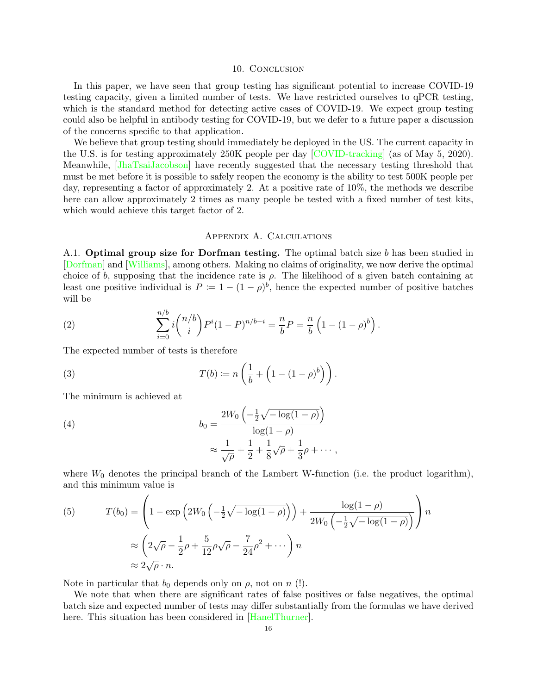#### 10. CONCLUSION

<span id="page-15-0"></span>In this paper, we have seen that group testing has significant potential to increase COVID-19 testing capacity, given a limited number of tests. We have restricted ourselves to qPCR testing, which is the standard method for detecting active cases of COVID-19. We expect group testing could also be helpful in antibody testing for COVID-19, but we defer to a future paper a discussion of the concerns specific to that application.

We believe that group testing should immediately be deployed in the US. The current capacity in the U.S. is for testing approximately 250K people per day [\[COVID-tracking\]](#page-17-14) (as of May 5, 2020). Meanwhile, [\[JhaTsaiJacobson\]](#page-17-15) have recently suggested that the necessary testing threshold that must be met before it is possible to safely reopen the economy is the ability to test 500K people per day, representing a factor of approximately 2. At a positive rate of 10%, the methods we describe here can allow approximately 2 times as many people be tested with a fixed number of test kits, which would achieve this target factor of 2.

### Appendix A. Calculations

<span id="page-15-1"></span>A.1. Optimal group size for Dorfman testing. The optimal batch size  $b$  has been studied in [\[Dorfman\]](#page-17-1) and [\[Williams\]](#page-17-16), among others. Making no claims of originality, we now derive the optimal choice of b, supposing that the incidence rate is  $\rho$ . The likelihood of a given batch containing at least one positive individual is  $P := 1 - (1 - \rho)^b$ , hence the expected number of positive batches will be

(2) 
$$
\sum_{i=0}^{n/b} i \binom{n/b}{i} P^{i} (1-P)^{n/b-i} = \frac{n}{b} P = \frac{n}{b} \left( 1 - (1-\rho)^{b} \right).
$$

The expected number of tests is therefore

(3) 
$$
T(b) \coloneqq n \left( \frac{1}{b} + \left( 1 - (1 - \rho)^b \right) \right).
$$

The minimum is achieved at

(4) 
$$
b_0 = \frac{2W_0 \left(-\frac{1}{2}\sqrt{-\log(1-\rho)}\right)}{\log(1-\rho)} \approx \frac{1}{\sqrt{\rho}} + \frac{1}{2} + \frac{1}{8}\sqrt{\rho} + \frac{1}{3}\rho + \cdots,
$$

where  $W_0$  denotes the principal branch of the Lambert W-function (i.e. the product logarithm), and this minimum value is

(5) 
$$
T(b_0) = \left(1 - \exp\left(2W_0\left(-\frac{1}{2}\sqrt{-\log(1-\rho)}\right)\right) + \frac{\log(1-\rho)}{2W_0\left(-\frac{1}{2}\sqrt{-\log(1-\rho)}\right)}\right)n
$$

$$
\approx \left(2\sqrt{\rho} - \frac{1}{2}\rho + \frac{5}{12}\rho\sqrt{\rho} - \frac{7}{24}\rho^2 + \cdots\right)n
$$

$$
\approx 2\sqrt{\rho} \cdot n.
$$

Note in particular that  $b_0$  depends only on  $\rho$ , not on  $n$  (!).

We note that when there are significant rates of false positives or false negatives, the optimal batch size and expected number of tests may differ substantially from the formulas we have derived here. This situation has been considered in [\[HanelThurner\]](#page-17-17).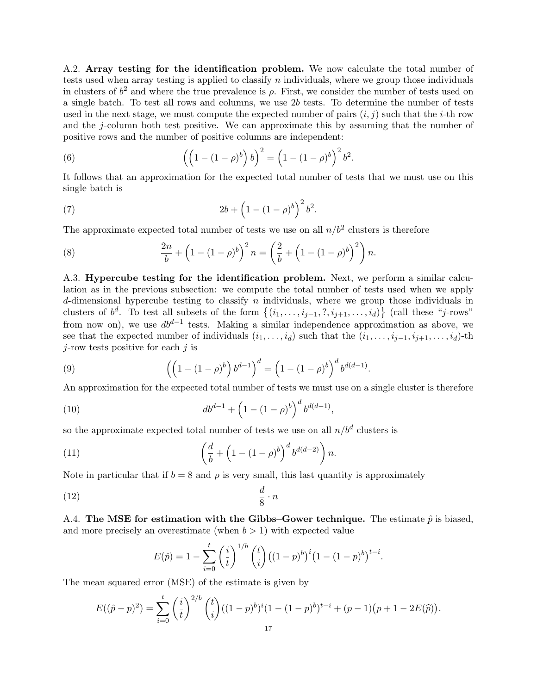A.2. Array testing for the identification problem. We now calculate the total number of tests used when array testing is applied to classify  $n$  individuals, where we group those individuals in clusters of  $b^2$  and where the true prevalence is  $\rho$ . First, we consider the number of tests used on a single batch. To test all rows and columns, we use 2b tests. To determine the number of tests used in the next stage, we must compute the expected number of pairs  $(i, j)$  such that the *i*-th row and the j-column both test positive. We can approximate this by assuming that the number of positive rows and the number of positive columns are independent:

(6) 
$$
\left( \left( 1 - (1 - \rho)^b \right) b \right)^2 = \left( 1 - (1 - \rho)^b \right)^2 b^2.
$$

It follows that an approximation for the expected total number of tests that we must use on this single batch is

(7) 
$$
2b + \left(1 - (1 - \rho)^b\right)^2 b^2.
$$

The approximate expected total number of tests we use on all  $n/b^2$  clusters is therefore

<span id="page-16-0"></span>(8) 
$$
\frac{2n}{b} + \left(1 - (1 - \rho)^b\right)^2 n = \left(\frac{2}{b} + \left(1 - (1 - \rho)^b\right)^2\right)n.
$$

A.3. Hypercube testing for the identification problem. Next, we perform a similar calculation as in the previous subsection: we compute the total number of tests used when we apply d-dimensional hypercube testing to classify n individuals, where we group those individuals in clusters of  $b^d$ . To test all subsets of the form  $\{(i_1,\ldots,i_{j-1},?,i_{j+1},\ldots,i_d)\}$  (call these "j-rows" from now on), we use  $db^{d-1}$  tests. Making a similar independence approximation as above, we see that the expected number of individuals  $(i_1, \ldots, i_d)$  such that the  $(i_1, \ldots, i_{j-1}, i_{j+1}, \ldots, i_d)$ -th  $j$ -row tests positive for each  $j$  is

(9) 
$$
\left( \left( 1 - (1 - \rho)^b \right) b^{d-1} \right)^d = \left( 1 - (1 - \rho)^b \right)^d b^{d(d-1)}.
$$

An approximation for the expected total number of tests we must use on a single cluster is therefore

(10) 
$$
db^{d-1} + \left(1 - (1 - \rho)^b\right)^d b^{d(d-1)},
$$

so the approximate expected total number of tests we use on all  $n/b<sup>d</sup>$  clusters is

(11) 
$$
\left(\frac{d}{b} + \left(1 - (1 - \rho)^b\right)^d b^{d(d-2)}\right) n.
$$

Note in particular that if  $b = 8$  and  $\rho$  is very small, this last quantity is approximately

$$
\frac{d}{8} \cdot n
$$

A.4. The MSE for estimation with the Gibbs–Gower technique. The estimate  $\hat{p}$  is biased, and more precisely an overestimate (when  $b > 1$ ) with expected value

$$
E(\hat{p}) = 1 - \sum_{i=0}^{t} \left(\frac{i}{t}\right)^{1/b} \binom{t}{i} \left((1-p)^{b}\right)^{i} \left(1 - (1-p)^{b}\right)^{t-i}.
$$

The mean squared error (MSE) of the estimate is given by

$$
E((\hat{p}-p)^2) = \sum_{i=0}^t \binom{i}{t}^{2/b} \binom{t}{i} ((1-p)^b)^i (1-(1-p)^b)^{t-i} + (p-1)(p+1-2E(\hat{p})).
$$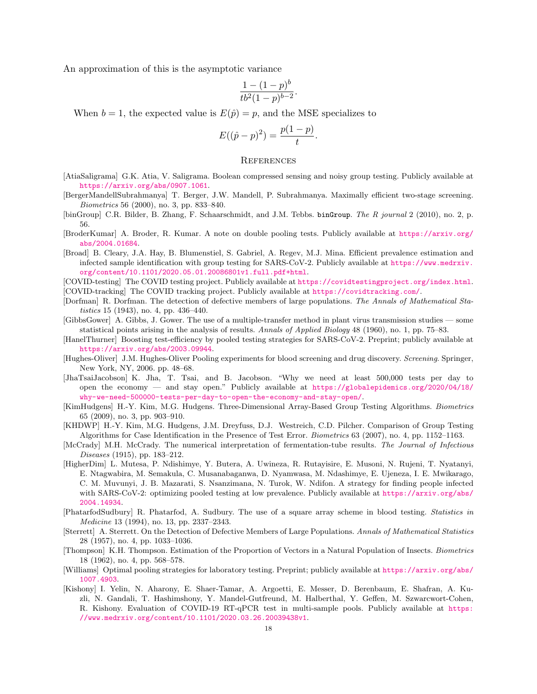An approximation of this is the asymptotic variance

$$
\frac{1 - (1 - p)^b}{tb^2 (1 - p)^{b - 2}}.
$$

When  $b = 1$ , the expected value is  $E(\hat{p}) = p$ , and the MSE specializes to

$$
E((\hat{p} - p)^2) = \frac{p(1 - p)}{t}.
$$

#### <span id="page-17-0"></span>**REFERENCES**

- <span id="page-17-13"></span>[AtiaSaligrama] G.K. Atia, V. Saligrama. Boolean compressed sensing and noisy group testing. Publicly available at <https://arxiv.org/abs/0907.1061>.
- <span id="page-17-6"></span>[BergerMandellSubrahmanya] T. Berger, J.W. Mandell, P. Subrahmanya. Maximally efficient two-stage screening. Biometrics 56 (2000), no. 3, pp. 833–840.
- <span id="page-17-3"></span>[binGroup] C.R. Bilder, B. Zhang, F. Schaarschmidt, and J.M. Tebbs. binGroup. The R journal 2 (2010), no. 2, p. 56.
- <span id="page-17-12"></span>[BroderKumar] A. Broder, R. Kumar. A note on double pooling tests. Publicly available at [https://arxiv.org/](https://arxiv.org/abs/2004.01684) [abs/2004.01684](https://arxiv.org/abs/2004.01684).
- <span id="page-17-4"></span>[Broad] B. Cleary, J.A. Hay, B. Blumenstiel, S. Gabriel, A. Regev, M.J. Mina. Efficient prevalence estimation and infected sample identification with group testing for SARS-CoV-2. Publicly available at [https://www.medrxiv.](https://www.medrxiv.org/content/10.1101/2020.05.01.20086801v1.full.pdf+html) [org/content/10.1101/2020.05.01.20086801v1.full.pdf+html](https://www.medrxiv.org/content/10.1101/2020.05.01.20086801v1.full.pdf+html).

[COVID-testing] The COVID testing project. Publicly available at <https://covidtestingproject.org/index.html>.

- <span id="page-17-14"></span>[COVID-tracking] The COVID tracking project. Publicly available at <https://covidtracking.com/>.
- <span id="page-17-1"></span>[Dorfman] R. Dorfman. The detection of defective members of large populations. The Annals of Mathematical Statistics 15 (1943), no. 4, pp. 436–440.
- <span id="page-17-8"></span>[GibbsGower] A. Gibbs, J. Gower. The use of a multiple-transfer method in plant virus transmission studies — some statistical points arising in the analysis of results. Annals of Applied Biology 48 (1960), no. 1, pp. 75–83.
- <span id="page-17-17"></span>[HanelThurner] Boosting test-efficiency by pooled testing strategies for SARS-CoV-2. Preprint; publicly available at <https://arxiv.org/abs/2003.09944>.
- <span id="page-17-2"></span>[Hughes-Oliver] J.M. Hughes-Oliver Pooling experiments for blood screening and drug discovery. Screening. Springer, New York, NY, 2006. pp. 48–68.
- <span id="page-17-15"></span>[JhaTsaiJacobson] K. Jha, T. Tsai, and B. Jacobson. "Why we need at least 500,000 tests per day to open the economy — and stay open." Publicly available at  $\frac{h}{g}$  [https://globalepidemics.org/2020/04/18/](https://globalepidemics.org/2020/04/18/why-we-need-500000-tests-per-day-to-open-the-economy-and-stay-open/) [why-we-need-500000-tests-per-day-to-open-the-economy-and-stay-open/](https://globalepidemics.org/2020/04/18/why-we-need-500000-tests-per-day-to-open-the-economy-and-stay-open/).
- [KimHudgens] H.-Y. Kim, M.G. Hudgens. Three-Dimensional Array-Based Group Testing Algorithms. Biometrics 65 (2009), no. 3, pp. 903–910.
- [KHDWP] H.-Y. Kim, M.G. Hudgens, J.M. Dreyfuss, D.J. Westreich, C.D. Pilcher. Comparison of Group Testing Algorithms for Case Identification in the Presence of Test Error. Biometrics 63 (2007), no. 4, pp. 1152–1163.
- [McCrady] M.H. McCrady. The numerical interpretation of fermentation-tube results. The Journal of Infectious Diseases (1915), pp. 183–212.
- <span id="page-17-7"></span>[HigherDim] L. Mutesa, P. Ndishimye, Y. Butera, A. Uwineza, R. Rutayisire, E. Musoni, N. Rujeni, T. Nyatanyi, E. Ntagwabira, M. Semakula, C. Musanabaganwa, D. Nyamwasa, M. Ndashimye, E. Ujeneza, I. E. Mwikarago, C. M. Muvunyi, J. B. Mazarati, S. Nsanzimana, N. Turok, W. Ndifon. A strategy for finding people infected with SARS-CoV-2: optimizing pooled testing at low prevalence. Publicly available at [https://arxiv.org/abs/](https://arxiv.org/abs/2004.14934) [2004.14934](https://arxiv.org/abs/2004.14934).
- <span id="page-17-5"></span>[PhatarfodSudbury] R. Phatarfod, A. Sudbury. The use of a square array scheme in blood testing. Statistics in Medicine 13 (1994), no. 13, pp. 2337–2343.
- <span id="page-17-11"></span>[Sterrett] A. Sterrett. On the Detection of Defective Members of Large Populations. Annals of Mathematical Statistics 28 (1957), no. 4, pp. 1033–1036.
- <span id="page-17-9"></span>[Thompson] K.H. Thompson. Estimation of the Proportion of Vectors in a Natural Population of Insects. Biometrics 18 (1962), no. 4, pp. 568–578.
- <span id="page-17-16"></span>[Williams] Optimal pooling strategies for laboratory testing. Preprint; publicly available at [https://arxiv.org/abs/](https://arxiv.org/abs/1007.4903) [1007.4903](https://arxiv.org/abs/1007.4903).
- <span id="page-17-10"></span>[Kishony] I. Yelin, N. Aharony, E. Shaer-Tamar, A. Argoetti, E. Messer, D. Berenbaum, E. Shafran, A. Kuzli, N. Gandali, T. Hashimshony, Y. Mandel-Gutfreund, M. Halberthal, Y. Geffen, M. Szwarcwort-Cohen, R. Kishony. Evaluation of COVID-19 RT-qPCR test in multi-sample pools. Publicly available at [https:](https://www.medrxiv.org/content/10.1101/2020.03.26.20039438v1) [//www.medrxiv.org/content/10.1101/2020.03.26.20039438v1](https://www.medrxiv.org/content/10.1101/2020.03.26.20039438v1).